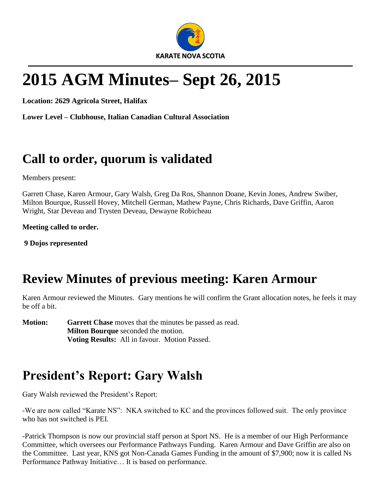

# **2015 AGM Minutes– Sept 26, 2015**

**Location: 2629 Agricola Street, Halifax**

**Lower Level – Clubhouse, Italian Canadian Cultural Association**

#### **Call to order, quorum is validated**

Members present:

Garrett Chase, Karen Armour, Gary Walsh, Greg Da Ros, Shannon Doane, Kevin Jones, Andrew Swiber, Milton Bourque, Russell Hovey, Mitchell German, Mathew Payne, Chris Richards, Dave Griffin, Aaron Wright, Star Deveau and Trysten Deveau, Dewayne Robicheau

**Meeting called to order.**

**9 Dojos represented**

### **Review Minutes of previous meeting: Karen Armour**

Karen Armour reviewed the Minutes. Gary mentions he will confirm the Grant allocation notes, he feels it may be off a bit.

**Motion:** Garrett Chase moves that the minutes be passed as read. **Milton Bourque** seconded the motion. **Voting Results:** All in favour. Motion Passed.

### **President's Report: Gary Walsh**

Gary Walsh reviewed the President's Report:

-We are now called "Karate NS": NKA switched to KC and the provinces followed suit. The only province who has not switched is PEI.

-Patrick Thompson is now our provincial staff person at Sport NS. He is a member of our High Performance Committee, which oversees our Performance Pathways Funding. Karen Armour and Dave Griffin are also on the Committee. Last year, KNS got Non-Canada Games Funding in the amount of \$7,900; now it is called Ns Performance Pathway Initiative… It is based on performance.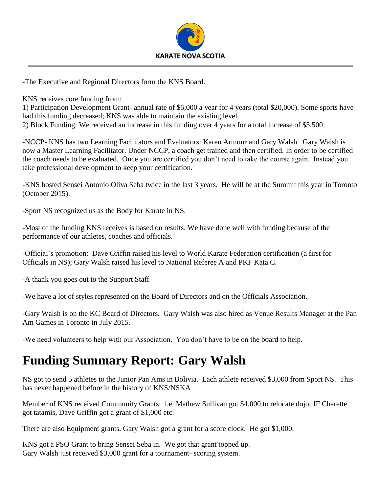

-The Executive and Regional Directors form the KNS Board.

KNS receives core funding from:

1) Participation Development Grant- annual rate of \$5,000 a year for 4 years (total \$20,000). Some sports have had this funding decreased; KNS was able to maintain the existing level. 2) Block Funding: We received an increase in this funding over 4 years for a total increase of \$5,500.

-NCCP- KNS has two Learning Facilitators and Evaluators: Karen Armour and Gary Walsh. Gary Walsh is now a Master Learning Facilitator. Under NCCP, a coach get trained and then certified. In order to be certified the coach needs to be evaluated. Once you are certified you don't need to take the course again. Instead you take professional development to keep your certification.

-KNS hosted Sensei Antonio Oliva Seba twice in the last 3 years. He will be at the Summit this year in Toronto (October 2015).

-Sport NS recognized us as the Body for Karate in NS.

-Most of the funding KNS receives is based on results. We have done well with funding because of the performance of our athletes, coaches and officials.

-Official's promotion: Dave Griffin raised his level to World Karate Federation certification (a first for Officials in NS); Gary Walsh raised his level to National Referee A and PKF Kata C.

-A thank you goes out to the Support Staff

-We have a lot of styles represented on the Board of Directors and on the Officials Association.

-Gary Walsh is on the KC Board of Directors. Gary Walsh was also hired as Venue Results Manager at the Pan Am Games in Toronto in July 2015.

-We need volunteers to help with our Association. You don't have to be on the board to help.

### **Funding Summary Report: Gary Walsh**

NS got to send 5 athletes to the Junior Pan Ams in Bolivia. Each athlete received \$3,000 from Sport NS. This has never happened before in the history of KNS/NSKA

Member of KNS received Community Grants: i.e. Mathew Sullivan got \$4,000 to relocate dojo, JF Charette got tatamis, Dave Griffin got a grant of \$1,000 etc.

There are also Equipment grants. Gary Walsh got a grant for a score clock. He got \$1,000.

KNS got a PSO Grant to bring Sensei Seba in. We got that grant topped up. Gary Walsh just received \$3,000 grant for a tournament- scoring system.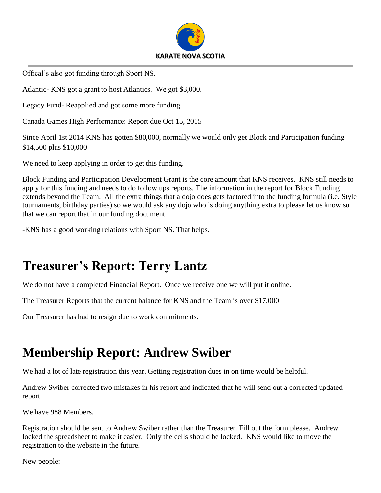

Offical's also got funding through Sport NS.

Atlantic- KNS got a grant to host Atlantics. We got \$3,000.

Legacy Fund- Reapplied and got some more funding

Canada Games High Performance: Report due Oct 15, 2015

Since April 1st 2014 KNS has gotten \$80,000, normally we would only get Block and Participation funding \$14,500 plus \$10,000

We need to keep applying in order to get this funding.

Block Funding and Participation Development Grant is the core amount that KNS receives. KNS still needs to apply for this funding and needs to do follow ups reports. The information in the report for Block Funding extends beyond the Team. All the extra things that a dojo does gets factored into the funding formula (i.e. Style tournaments, birthday parties) so we would ask any dojo who is doing anything extra to please let us know so that we can report that in our funding document.

-KNS has a good working relations with Sport NS. That helps.

### **Treasurer's Report: Terry Lantz**

We do not have a completed Financial Report. Once we receive one we will put it online.

The Treasurer Reports that the current balance for KNS and the Team is over \$17,000.

Our Treasurer has had to resign due to work commitments.

#### **Membership Report: Andrew Swiber**

We had a lot of late registration this year. Getting registration dues in on time would be helpful.

Andrew Swiber corrected two mistakes in his report and indicated that he will send out a corrected updated report.

We have 988 Members.

Registration should be sent to Andrew Swiber rather than the Treasurer. Fill out the form please. Andrew locked the spreadsheet to make it easier. Only the cells should be locked. KNS would like to move the registration to the website in the future.

New people: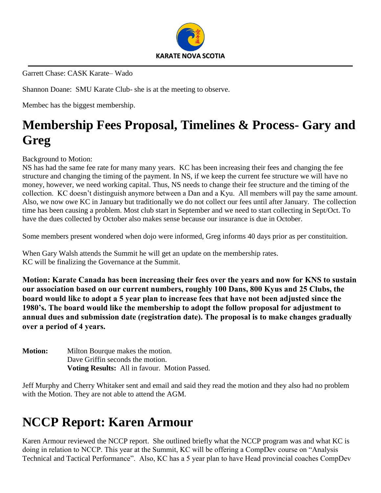

Garrett Chase: CASK Karate– Wado

Shannon Doane: SMU Karate Club- she is at the meeting to observe.

Membec has the biggest membership.

### **Membership Fees Proposal, Timelines & Process- Gary and Greg**

Background to Motion:

NS has had the same fee rate for many many years. KC has been increasing their fees and changing the fee structure and changing the timing of the payment. In NS, if we keep the current fee structure we will have no money, however, we need working capital. Thus, NS needs to change their fee structure and the timing of the collection. KC doesn't distinguish anymore between a Dan and a Kyu. All members will pay the same amount. Also, we now owe KC in January but traditionally we do not collect our fees until after January. The collection time has been causing a problem. Most club start in September and we need to start collecting in Sept/Oct. To have the dues collected by October also makes sense because our insurance is due in October.

Some members present wondered when dojo were informed, Greg informs 40 days prior as per constituition.

When Gary Walsh attends the Summit he will get an update on the membership rates. KC will be finalizing the Governance at the Summit.

**Motion: Karate Canada has been increasing their fees over the years and now for KNS to sustain our association based on our current numbers, roughly 100 Dans, 800 Kyus and 25 Clubs, the board would like to adopt a 5 year plan to increase fees that have not been adjusted since the 1980's. The board would like the membership to adopt the follow proposal for adjustment to annual dues and submission date (registration date). The proposal is to make changes gradually over a period of 4 years.** 

**Motion:** Milton Bourque makes the motion. Dave Griffin seconds the motion. **Voting Results:** All in favour. Motion Passed.

Jeff Murphy and Cherry Whitaker sent and email and said they read the motion and they also had no problem with the Motion. They are not able to attend the AGM.

### **NCCP Report: Karen Armour**

Karen Armour reviewed the NCCP report. She outlined briefly what the NCCP program was and what KC is doing in relation to NCCP. This year at the Summit, KC will be offering a CompDev course on "Analysis Technical and Tactical Performance". Also, KC has a 5 year plan to have Head provincial coaches CompDev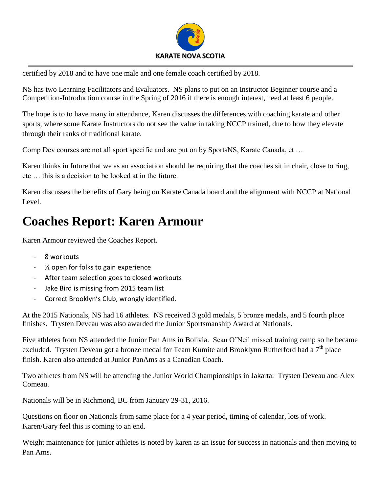

certified by 2018 and to have one male and one female coach certified by 2018.

NS has two Learning Facilitators and Evaluators. NS plans to put on an Instructor Beginner course and a Competition-Introduction course in the Spring of 2016 if there is enough interest, need at least 6 people.

The hope is to to have many in attendance, Karen discusses the differences with coaching karate and other sports, where some Karate Instructors do not see the value in taking NCCP trained, due to how they elevate through their ranks of traditional karate.

Comp Dev courses are not all sport specific and are put on by SportsNS, Karate Canada, et …

Karen thinks in future that we as an association should be requiring that the coaches sit in chair, close to ring, etc … this is a decision to be looked at in the future.

Karen discusses the benefits of Gary being on Karate Canada board and the alignment with NCCP at National Level.

#### **Coaches Report: Karen Armour**

Karen Armour reviewed the Coaches Report.

- 8 workouts
- ½ open for folks to gain experience
- After team selection goes to closed workouts
- Jake Bird is missing from 2015 team list
- Correct Brooklyn's Club, wrongly identified.

At the 2015 Nationals, NS had 16 athletes. NS received 3 gold medals, 5 bronze medals, and 5 fourth place finishes. Trysten Deveau was also awarded the Junior Sportsmanship Award at Nationals.

Five athletes from NS attended the Junior Pan Ams in Bolivia. Sean O'Neil missed training camp so he became excluded. Trysten Deveau got a bronze medal for Team Kumite and Brooklynn Rutherford had a  $7<sup>th</sup>$  place finish. Karen also attended at Junior PanAms as a Canadian Coach.

Two athletes from NS will be attending the Junior World Championships in Jakarta: Trysten Deveau and Alex Comeau.

Nationals will be in Richmond, BC from January 29-31, 2016.

Questions on floor on Nationals from same place for a 4 year period, timing of calendar, lots of work. Karen/Gary feel this is coming to an end.

Weight maintenance for junior athletes is noted by karen as an issue for success in nationals and then moving to Pan Ams.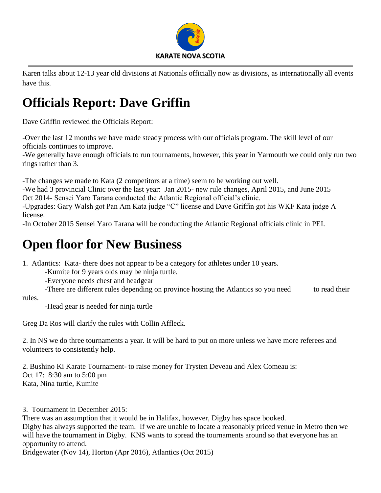

Karen talks about 12-13 year old divisions at Nationals officially now as divisions, as internationally all events have this.

## **Officials Report: Dave Griffin**

Dave Griffin reviewed the Officials Report:

-Over the last 12 months we have made steady process with our officials program. The skill level of our officials continues to improve.

-We generally have enough officials to run tournaments, however, this year in Yarmouth we could only run two rings rather than 3.

-The changes we made to Kata (2 competitors at a time) seem to be working out well.

-We had 3 provincial Clinic over the last year: Jan 2015- new rule changes, April 2015, and June 2015 Oct 2014- Sensei Yaro Tarana conducted the Atlantic Regional official's clinic.

-Upgrades: Gary Walsh got Pan Am Kata judge "C" license and Dave Griffin got his WKF Kata judge A license.

-In October 2015 Sensei Yaro Tarana will be conducting the Atlantic Regional officials clinic in PEI.

### **Open floor for New Business**

1. Atlantics: Kata- there does not appear to be a category for athletes under 10 years.

-Kumite for 9 years olds may be ninja turtle.

-Everyone needs chest and headgear

-There are different rules depending on province hosting the Atlantics so you need to read their

rules.

-Head gear is needed for ninja turtle

Greg Da Ros will clarify the rules with Collin Affleck.

2. In NS we do three tournaments a year. It will be hard to put on more unless we have more referees and volunteers to consistently help.

2. Bushino Ki Karate Tournament- to raise money for Trysten Deveau and Alex Comeau is: Oct 17: 8:30 am to 5:00 pm Kata, Nina turtle, Kumite

3. Tournament in December 2015:

There was an assumption that it would be in Halifax, however, Digby has space booked. Digby has always supported the team. If we are unable to locate a reasonably priced venue in Metro then we will have the tournament in Digby. KNS wants to spread the tournaments around so that everyone has an opportunity to attend.

Bridgewater (Nov 14), Horton (Apr 2016), Atlantics (Oct 2015)